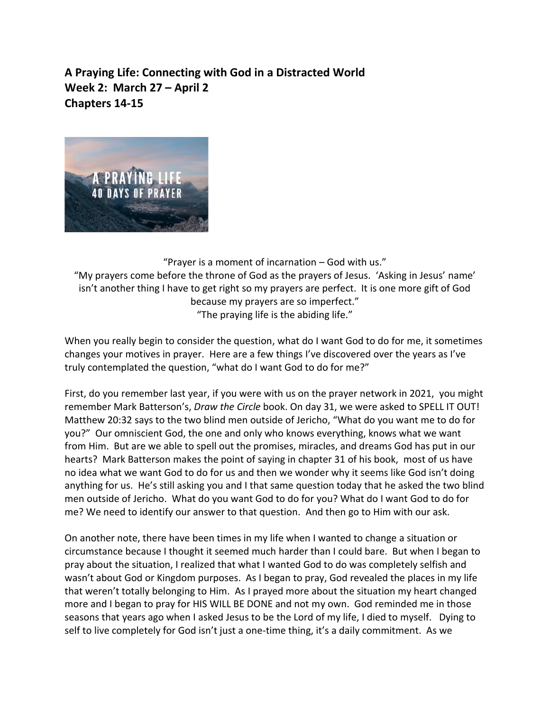**A Praying Life: Connecting with God in a Distracted World Week 2: March 27 – April 2 Chapters 14-15**



"Prayer is a moment of incarnation – God with us." "My prayers come before the throne of God as the prayers of Jesus. 'Asking in Jesus' name' isn't another thing I have to get right so my prayers are perfect. It is one more gift of God because my prayers are so imperfect." "The praying life is the abiding life."

When you really begin to consider the question, what do I want God to do for me, it sometimes changes your motives in prayer. Here are a few things I've discovered over the years as I've truly contemplated the question, "what do I want God to do for me?"

First, do you remember last year, if you were with us on the prayer network in 2021, you might remember Mark Batterson's, *Draw the Circle* book. On day 31, we were asked to SPELL IT OUT! Matthew 20:32 says to the two blind men outside of Jericho, "What do you want me to do for you?" Our omniscient God, the one and only who knows everything, knows what we want from Him. But are we able to spell out the promises, miracles, and dreams God has put in our hearts? Mark Batterson makes the point of saying in chapter 31 of his book, most of us have no idea what we want God to do for us and then we wonder why it seems like God isn't doing anything for us. He's still asking you and I that same question today that he asked the two blind men outside of Jericho. What do you want God to do for you? What do I want God to do for me? We need to identify our answer to that question. And then go to Him with our ask.

On another note, there have been times in my life when I wanted to change a situation or circumstance because I thought it seemed much harder than I could bare. But when I began to pray about the situation, I realized that what I wanted God to do was completely selfish and wasn't about God or Kingdom purposes. As I began to pray, God revealed the places in my life that weren't totally belonging to Him. As I prayed more about the situation my heart changed more and I began to pray for HIS WILL BE DONE and not my own. God reminded me in those seasons that years ago when I asked Jesus to be the Lord of my life, I died to myself. Dying to self to live completely for God isn't just a one-time thing, it's a daily commitment. As we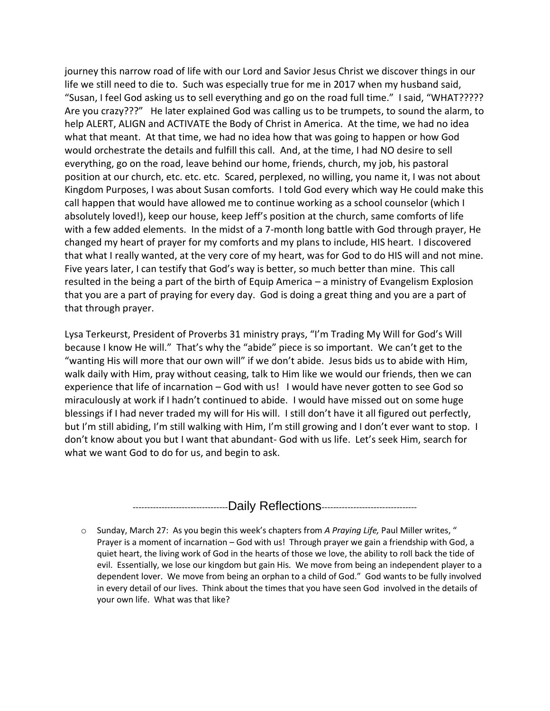journey this narrow road of life with our Lord and Savior Jesus Christ we discover things in our life we still need to die to. Such was especially true for me in 2017 when my husband said, "Susan, I feel God asking us to sell everything and go on the road full time." I said, "WHAT????? Are you crazy???" He later explained God was calling us to be trumpets, to sound the alarm, to help ALERT, ALIGN and ACTIVATE the Body of Christ in America. At the time, we had no idea what that meant. At that time, we had no idea how that was going to happen or how God would orchestrate the details and fulfill this call. And, at the time, I had NO desire to sell everything, go on the road, leave behind our home, friends, church, my job, his pastoral position at our church, etc. etc. etc. Scared, perplexed, no willing, you name it, I was not about Kingdom Purposes, I was about Susan comforts. I told God every which way He could make this call happen that would have allowed me to continue working as a school counselor (which I absolutely loved!), keep our house, keep Jeff's position at the church, same comforts of life with a few added elements. In the midst of a 7-month long battle with God through prayer, He changed my heart of prayer for my comforts and my plans to include, HIS heart. I discovered that what I really wanted, at the very core of my heart, was for God to do HIS will and not mine. Five years later, I can testify that God's way is better, so much better than mine. This call resulted in the being a part of the birth of Equip America – a ministry of Evangelism Explosion that you are a part of praying for every day. God is doing a great thing and you are a part of that through prayer.

Lysa Terkeurst, President of Proverbs 31 ministry prays, "I'm Trading My Will for God's Will because I know He will." That's why the "abide" piece is so important. We can't get to the "wanting His will more that our own will" if we don't abide. Jesus bids us to abide with Him, walk daily with Him, pray without ceasing, talk to Him like we would our friends, then we can experience that life of incarnation – God with us! I would have never gotten to see God so miraculously at work if I hadn't continued to abide. I would have missed out on some huge blessings if I had never traded my will for His will. I still don't have it all figured out perfectly, but I'm still abiding, I'm still walking with Him, I'm still growing and I don't ever want to stop. I don't know about you but I want that abundant- God with us life. Let's seek Him, search for what we want God to do for us, and begin to ask.

-------------------------------------Daily Reflections--------------------------------

o Sunday, March 27: As you begin this week's chapters from *A Praying Life,* Paul Miller writes, " Prayer is a moment of incarnation – God with us! Through prayer we gain a friendship with God, a quiet heart, the living work of God in the hearts of those we love, the ability to roll back the tide of evil. Essentially, we lose our kingdom but gain His. We move from being an independent player to a dependent lover. We move from being an orphan to a child of God." God wants to be fully involved in every detail of our lives. Think about the times that you have seen God involved in the details of your own life. What was that like?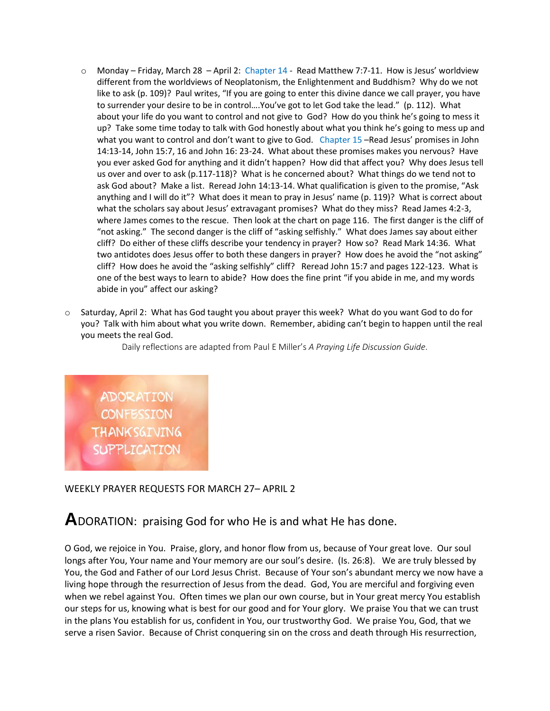- $\circ$  Monday Friday, March 28 April 2: Chapter 14 Read Matthew 7:7-11. How is Jesus' worldview different from the worldviews of Neoplatonism, the Enlightenment and Buddhism? Why do we not like to ask (p. 109)? Paul writes, "If you are going to enter this divine dance we call prayer, you have to surrender your desire to be in control….You've got to let God take the lead." (p. 112). What about your life do you want to control and not give to God? How do you think he's going to mess it up? Take some time today to talk with God honestly about what you think he's going to mess up and what you want to control and don't want to give to God. Chapter 15 –Read Jesus' promises in John 14:13-14, John 15:7, 16 and John 16: 23-24. What about these promises makes you nervous? Have you ever asked God for anything and it didn't happen? How did that affect you? Why does Jesus tell us over and over to ask (p.117-118)? What is he concerned about? What things do we tend not to ask God about? Make a list. Reread John 14:13-14. What qualification is given to the promise, "Ask anything and I will do it"? What does it mean to pray in Jesus' name (p. 119)? What is correct about what the scholars say about Jesus' extravagant promises? What do they miss? Read James 4:2-3, where James comes to the rescue. Then look at the chart on page 116. The first danger is the cliff of "not asking." The second danger is the cliff of "asking selfishly." What does James say about either cliff? Do either of these cliffs describe your tendency in prayer? How so? Read Mark 14:36. What two antidotes does Jesus offer to both these dangers in prayer? How does he avoid the "not asking" cliff? How does he avoid the "asking selfishly" cliff? Reread John 15:7 and pages 122-123. What is one of the best ways to learn to abide? How does the fine print "if you abide in me, and my words abide in you" affect our asking?
- o Saturday, April 2: What has God taught you about prayer this week? What do you want God to do for you? Talk with him about what you write down. Remember, abiding can't begin to happen until the real you meets the real God.

Daily reflections are adapted from Paul E Miller's *A Praying Life Discussion Guide*.

ADORATION **CONFESSION THANKSGIVING SUPPLICATION** 

WEEKLY PRAYER REQUESTS FOR MARCH 27– APRIL 2

## **A**DORATION: praising God for who He is and what He has done.

O God, we rejoice in You. Praise, glory, and honor flow from us, because of Your great love. Our soul longs after You, Your name and Your memory are our soul's desire. (Is. 26:8). We are truly blessed by You, the God and Father of our Lord Jesus Christ. Because of Your son's abundant mercy we now have a living hope through the resurrection of Jesus from the dead. God, You are merciful and forgiving even when we rebel against You. Often times we plan our own course, but in Your great mercy You establish our steps for us, knowing what is best for our good and for Your glory. We praise You that we can trust in the plans You establish for us, confident in You, our trustworthy God. We praise You, God, that we serve a risen Savior. Because of Christ conquering sin on the cross and death through His resurrection,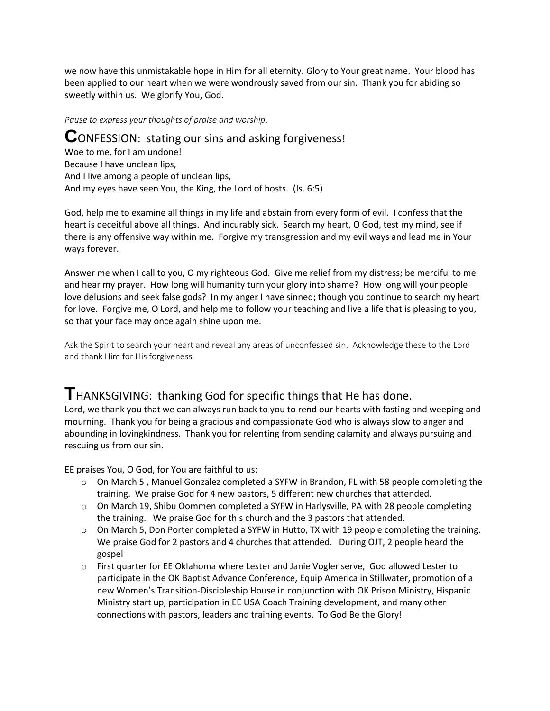we now have this unmistakable hope in Him for all eternity. Glory to Your great name. Your blood has been applied to our heart when we were wondrously saved from our sin. Thank you for abiding so sweetly within us. We glorify You, God.

*Pause to express your thoughts of praise and worship*.

**C**ONFESSION: stating our sins and asking forgiveness! Woe to me, for I am undone! Because I have unclean lips, And I live among a people of unclean lips, And my eyes have seen You, the King, the Lord of hosts. (Is. 6:5)

God, help me to examine all things in my life and abstain from every form of evil. I confess that the heart is deceitful above all things. And incurably sick. Search my heart, O God, test my mind, see if there is any offensive way within me. Forgive my transgression and my evil ways and lead me in Your ways forever.

Answer me when I call to you, O my righteous God. Give me relief from my distress; be merciful to me and hear my prayer. How long will humanity turn your glory into shame? How long will your people love delusions and seek false gods? In my anger I have sinned; though you continue to search my heart for love. Forgive me, O Lord, and help me to follow your teaching and live a life that is pleasing to you, so that your face may once again shine upon me.

Ask the Spirit to search your heart and reveal any areas of unconfessed sin. Acknowledge these to the Lord and thank Him for His forgiveness.

## **T**HANKSGIVING: thanking God for specific things that He has done.

Lord, we thank you that we can always run back to you to rend our hearts with fasting and weeping and mourning. Thank you for being a gracious and compassionate God who is always slow to anger and abounding in lovingkindness. Thank you for relenting from sending calamity and always pursuing and rescuing us from our sin.

EE praises You, O God, for You are faithful to us:

- o On March 5 , Manuel Gonzalez completed a SYFW in Brandon, FL with 58 people completing the training. We praise God for 4 new pastors, 5 different new churches that attended.
- $\circ$  On March 19, Shibu Oommen completed a SYFW in Harlysville, PA with 28 people completing the training. We praise God for this church and the 3 pastors that attended.
- $\circ$  On March 5, Don Porter completed a SYFW in Hutto, TX with 19 people completing the training. We praise God for 2 pastors and 4 churches that attended. During OJT, 2 people heard the gospel
- o First quarter for EE Oklahoma where Lester and Janie Vogler serve, God allowed Lester to participate in the OK Baptist Advance Conference, Equip America in Stillwater, promotion of a new Women's Transition-Discipleship House in conjunction with OK Prison Ministry, Hispanic Ministry start up, participation in EE USA Coach Training development, and many other connections with pastors, leaders and training events. To God Be the Glory!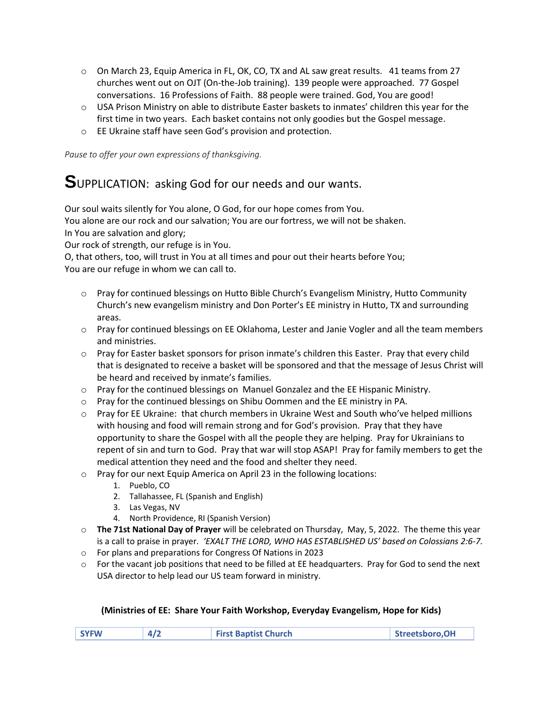- $\circ$  On March 23, Equip America in FL, OK, CO, TX and AL saw great results. 41 teams from 27 churches went out on OJT (On-the-Job training). 139 people were approached. 77 Gospel conversations. 16 Professions of Faith. 88 people were trained. God, You are good!
- o USA Prison Ministry on able to distribute Easter baskets to inmates' children this year for the first time in two years. Each basket contains not only goodies but the Gospel message.
- o EE Ukraine staff have seen God's provision and protection.

*Pause to offer your own expressions of thanksgiving.*

## **S**UPPLICATION: asking God for our needs and our wants.

Our soul waits silently for You alone, O God, for our hope comes from You.

You alone are our rock and our salvation; You are our fortress, we will not be shaken. In You are salvation and glory;

Our rock of strength, our refuge is in You.

O, that others, too, will trust in You at all times and pour out their hearts before You; You are our refuge in whom we can call to.

- $\circ$  Pray for continued blessings on Hutto Bible Church's Evangelism Ministry, Hutto Community Church's new evangelism ministry and Don Porter's EE ministry in Hutto, TX and surrounding areas.
- $\circ$  Pray for continued blessings on EE Oklahoma, Lester and Janie Vogler and all the team members and ministries.
- o Pray for Easter basket sponsors for prison inmate's children this Easter. Pray that every child that is designated to receive a basket will be sponsored and that the message of Jesus Christ will be heard and received by inmate's families.
- $\circ$  Pray for the continued blessings on Manuel Gonzalez and the EE Hispanic Ministry.
- o Pray for the continued blessings on Shibu Oommen and the EE ministry in PA.
- o Pray for EE Ukraine: that church members in Ukraine West and South who've helped millions with housing and food will remain strong and for God's provision. Pray that they have opportunity to share the Gospel with all the people they are helping. Pray for Ukrainians to repent of sin and turn to God. Pray that war will stop ASAP! Pray for family members to get the medical attention they need and the food and shelter they need.
- o Pray for our next Equip America on April 23 in the following locations:
	- 1. Pueblo, CO
	- 2. Tallahassee, FL (Spanish and English)
	- 3. Las Vegas, NV
	- 4. North Providence, RI (Spanish Version)
- o **The 71st National Day of Prayer** will be celebrated on Thursday, May, 5, 2022. The theme this year is a call to praise in prayer*. 'EXALT THE LORD, WHO HAS ESTABLISHED US' based on Colossians 2:6-7.*
- o For plans and preparations for Congress Of Nations in 2023
- $\circ$  For the vacant job positions that need to be filled at EE headquarters. Pray for God to send the next USA director to help lead our US team forward in ministry.

## **(Ministries of EE: Share Your Faith Workshop, Everyday Evangelism, Hope for Kids)**

| <b>SYFW</b> | <b>First Baptist Church</b> | Streetsboro, OH |
|-------------|-----------------------------|-----------------|
|             |                             |                 |